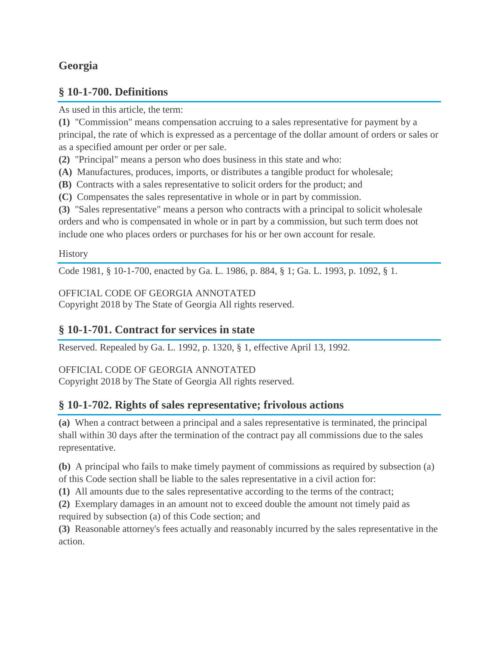# **Georgia**

## **§ 10-1-700. Definitions**

As used in this article, the term:

**(1)** "Commission" means compensation accruing to a sales representative for payment by a principal, the rate of which is expressed as a percentage of the dollar amount of orders or sales or as a specified amount per order or per sale.

**(2)** "Principal" means a person who does business in this state and who:

**(A)** Manufactures, produces, imports, or distributes a tangible product for wholesale;

**(B)** Contracts with a sales representative to solicit orders for the product; and

**(C)** Compensates the sales representative in whole or in part by commission.

**(3)** "Sales representative" means a person who contracts with a principal to solicit wholesale orders and who is compensated in whole or in part by a commission, but such term does not include one who places orders or purchases for his or her own account for resale.

## **History**

Code 1981, § 10-1-700, enacted by Ga. L. 1986, p. 884, § 1; Ga. L. 1993, p. 1092, § 1.

## OFFICIAL CODE OF GEORGIA ANNOTATED

Copyright 2018 by The State of Georgia All rights reserved.

## **§ 10-1-701. Contract for services in state**

Reserved. Repealed by Ga. L. 1992, p. 1320, § 1, effective April 13, 1992.

## OFFICIAL CODE OF GEORGIA ANNOTATED

Copyright 2018 by The State of Georgia All rights reserved.

## **§ 10-1-702. Rights of sales representative; frivolous actions**

**(a)** When a contract between a principal and a sales representative is terminated, the principal shall within 30 days after the termination of the contract pay all commissions due to the sales representative.

**(b)** A principal who fails to make timely payment of commissions as required by subsection (a) of this Code section shall be liable to the sales representative in a civil action for:

**(1)** All amounts due to the sales representative according to the terms of the contract;

**(2)** Exemplary damages in an amount not to exceed double the amount not timely paid as required by subsection (a) of this Code section; and

**(3)** Reasonable attorney's fees actually and reasonably incurred by the sales representative in the action.